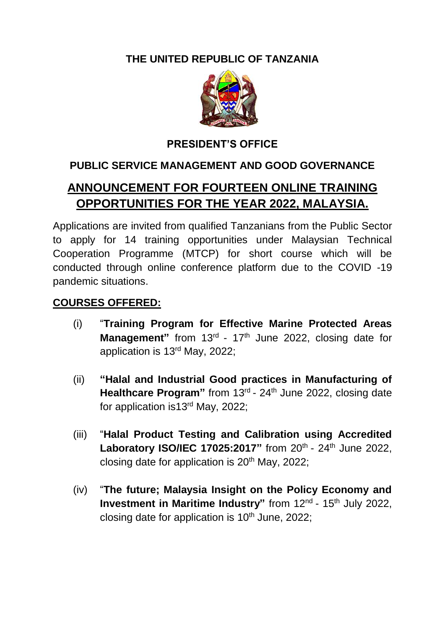## **THE UNITED REPUBLIC OF TANZANIA**



## **PRESIDENT'S OFFICE**

## **PUBLIC SERVICE MANAGEMENT AND GOOD GOVERNANCE**

# **ANNOUNCEMENT FOR FOURTEEN ONLINE TRAINING OPPORTUNITIES FOR THE YEAR 2022, MALAYSIA.**

Applications are invited from qualified Tanzanians from the Public Sector to apply for 14 training opportunities under Malaysian Technical Cooperation Programme (MTCP) for short course which will be conducted through online conference platform due to the COVID -19 pandemic situations.

#### **COURSES OFFERED:**

- (i) "**Training Program for Effective Marine Protected Areas**  Management" from 13<sup>rd</sup> - 17<sup>th</sup> June 2022, closing date for application is 13<sup>rd</sup> May, 2022;
- (ii) **"Halal and Industrial Good practices in Manufacturing of**  Healthcare Program" from 13<sup>rd</sup> - 24<sup>th</sup> June 2022, closing date for application is13<sup>rd</sup> May, 2022;
- (iii) "**Halal Product Testing and Calibration using Accredited**  Laboratory ISO/IEC 17025:2017" from 20<sup>th</sup> - 24<sup>th</sup> June 2022, closing date for application is  $20<sup>th</sup>$  May,  $2022$ ;
- (iv) "**The future; Malaysia Insight on the Policy Economy and**  Investment in Maritime Industry" from 12<sup>nd</sup> - 15<sup>th</sup> July 2022, closing date for application is  $10<sup>th</sup>$  June, 2022;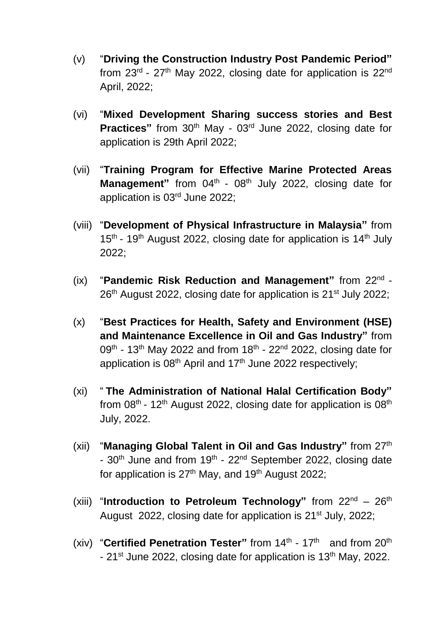- (v) "**Driving the Construction Industry Post Pandemic Period"** from 23<sup>rd</sup> - 27<sup>th</sup> May 2022, closing date for application is 22<sup>nd</sup> April, 2022;
- (vi) "**Mixed Development Sharing success stories and Best Practices**" from 30<sup>th</sup> May - 03<sup>rd</sup> June 2022, closing date for application is 29th April 2022;
- (vii) "**Training Program for Effective Marine Protected Areas**  Management" from 04<sup>th</sup> - 08<sup>th</sup> July 2022, closing date for application is 03rd June 2022;
- (viii) "**Development of Physical Infrastructure in Malaysia"** from  $15<sup>th</sup>$  - 19<sup>th</sup> August 2022, closing date for application is 14<sup>th</sup> July 2022;
- (ix) "**Pandemic Risk Reduction and Management"** from 22nd 26<sup>th</sup> August 2022, closing date for application is 21<sup>st</sup> July 2022;
- (x) "**Best Practices for Health, Safety and Environment (HSE) and Maintenance Excellence in Oil and Gas Industry"** from 09<sup>th</sup> - 13<sup>th</sup> May 2022 and from 18<sup>th</sup> - 22<sup>nd</sup> 2022, closing date for application is  $08<sup>th</sup>$  April and 17<sup>th</sup> June 2022 respectively;
- (xi) " **The Administration of National Halal Certification Body"** from 08<sup>th</sup> - 12<sup>th</sup> August 2022, closing date for application is 08<sup>th</sup> July, 2022.
- (xii) "**Managing Global Talent in Oil and Gas Industry"** from 27th - 30<sup>th</sup> June and from 19<sup>th</sup> - 22<sup>nd</sup> September 2022, closing date for application is  $27<sup>th</sup>$  May, and 19<sup>th</sup> August 2022;
- (xiii) "**Introduction to Petroleum Technology"** from 22nd 26th August 2022, closing date for application is 21<sup>st</sup> July, 2022;
- (xiv) "Certified Penetration Tester" from 14<sup>th</sup> 17<sup>th</sup> and from 20<sup>th</sup> - 21<sup>st</sup> June 2022, closing date for application is 13<sup>th</sup> May, 2022.